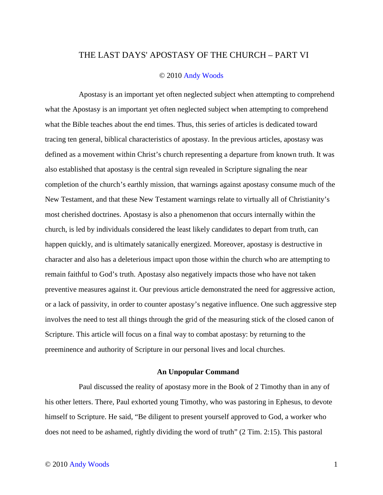## THE LAST DAYS' APOSTASY OF THE CHURCH – PART VI

## © 2010 Andy Woods

Apostasy is an important yet often neglected subject when attempting to comprehend what the Apostasy is an important yet often neglected subject when attempting to comprehend what the Bible teaches about the end times. Thus, this series of articles is dedicated toward tracing ten general, biblical characteristics of apostasy. In the previous articles, apostasy was defined as a movement within Christ's church representing a departure from known truth. It was also established that apostasy is the central sign revealed in Scripture signaling the near completion of the church's earthly mission, that warnings against apostasy consume much of the New Testament, and that these New Testament warnings relate to virtually all of Christianity's most cherished doctrines. Apostasy is also a phenomenon that occurs internally within the church, is led by individuals considered the least likely candidates to depart from truth, can happen quickly, and is ultimately satanically energized. Moreover, apostasy is destructive in character and also has a deleterious impact upon those within the church who are attempting to remain faithful to God's truth. Apostasy also negatively impacts those who have not taken preventive measures against it. Our previous article demonstrated the need for aggressive action, or a lack of passivity, in order to counter apostasy's negative influence. One such aggressive step involves the need to test all things through the grid of the measuring stick of the closed canon of Scripture. This article will focus on a final way to combat apostasy: by returning to the preeminence and authority of Scripture in our personal lives and local churches.

## **An Unpopular Command**

Paul discussed the reality of apostasy more in the Book of 2 Timothy than in any of his other letters. There, Paul exhorted young Timothy, who was pastoring in Ephesus, to devote himself to Scripture. He said, "Be diligent to present yourself approved to God, a worker who does not need to be ashamed, rightly dividing the word of truth" (2 Tim. 2:15). This pastoral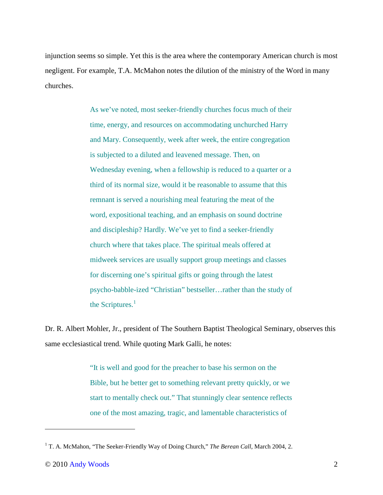injunction seems so simple. Yet this is the area where the contemporary American church is most negligent. For example, T.A. McMahon notes the dilution of the ministry of the Word in many churches.

> As we've noted, most seeker-friendly churches focus much of their time, energy, and resources on accommodating unchurched Harry and Mary. Consequently, week after week, the entire congregation is subjected to a diluted and leavened message. Then, on Wednesday evening, when a fellowship is reduced to a quarter or a third of its normal size, would it be reasonable to assume that this remnant is served a nourishing meal featuring the meat of the word, expositional teaching, and an emphasis on sound doctrine and discipleship? Hardly. We've yet to find a seeker-friendly church where that takes place. The spiritual meals offered at midweek services are usually support group meetings and classes for discerning one's spiritual gifts or going through the latest psycho-babble-ized "Christian" bestseller…rather than the study of the Scriptures. $<sup>1</sup>$ </sup>

Dr. R. Albert Mohler, Jr., president of The Southern Baptist Theological Seminary, observes this same ecclesiastical trend. While quoting Mark Galli, he notes:

> "It is well and good for the preacher to base his sermon on the Bible, but he better get to something relevant pretty quickly, or we start to mentally check out." That stunningly clear sentence reflects one of the most amazing, tragic, and lamentable characteristics of

<u>.</u>

<sup>&</sup>lt;sup>1</sup> T. A. McMahon, "The Seeker-Friendly Way of Doing Church," *The Berean Call*, March 2004, 2.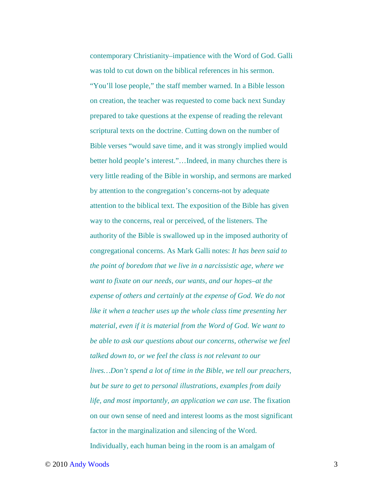contemporary Christianity–impatience with the Word of God. Galli was told to cut down on the biblical references in his sermon. "You'll lose people," the staff member warned. In a Bible lesson on creation, the teacher was requested to come back next Sunday prepared to take questions at the expense of reading the relevant scriptural texts on the doctrine. Cutting down on the number of Bible verses "would save time, and it was strongly implied would better hold people's interest."…Indeed, in many churches there is very little reading of the Bible in worship, and sermons are marked by attention to the congregation's concerns-not by adequate attention to the biblical text. The exposition of the Bible has given way to the concerns, real or perceived, of the listeners. The authority of the Bible is swallowed up in the imposed authority of congregational concerns. As Mark Galli notes: *It has been said to the point of boredom that we live in a narcissistic age, where we want to fixate on our needs, our wants, and our hopes–at the expense of others and certainly at the expense of God. We do not like it when a teacher uses up the whole class time presenting her material, even if it is material from the Word of God. We want to be able to ask our questions about our concerns, otherwise we feel talked down to, or we feel the class is not relevant to our lives…Don't spend a lot of time in the Bible, we tell our preachers, but be sure to get to personal illustrations, examples from daily life, and most importantly, an application we can use*. The fixation on our own sense of need and interest looms as the most significant factor in the marginalization and silencing of the Word. Individually, each human being in the room is an amalgam of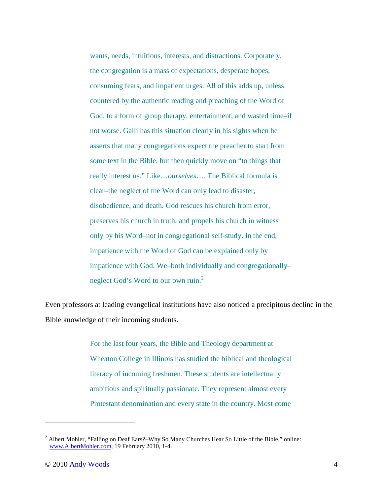wants, needs, intuitions, interests, and distractions. Corporately, the congregation is a mass of expectations, desperate hopes, consuming fears, and impatient urges. All of this adds up, unless countered by the authentic reading and preaching of the Word of God, to a form of group therapy, entertainment, and wasted time–if not worse. Galli has this situation clearly in his sights when he asserts that many congregations expect the preacher to start from some text in the Bible, but then quickly move on "to things that really interest us." Like…*ourselves*…. The Biblical formula is clear–the neglect of the Word can only lead to disaster, disobedience, and death. God rescues his church from error, preserves his church in truth, and propels his church in witness only by his Word–not in congregational self-study. In the end, impatience with the Word of God can be explained only by impatience with God. We–both individually and congregationally– neglect God's Word to our own ruin.<sup>2</sup>

Even professors at leading evangelical institutions have also noticed a precipitous decline in the Bible knowledge of their incoming students.

> For the last four years, the Bible and Theology department at Wheaton College in Illinois has studied the biblical and theological literacy of incoming freshmen. These students are intellectually ambitious and spiritually passionate. They represent almost every Protestant denomination and every state in the country. Most come

<u>.</u>

<sup>&</sup>lt;sup>2</sup> Albert Mohler, "Falling on Deaf Ears?-Why So Many Churches Hear So Little of the Bible," online: www.AlbertMohler.com, 19 February 2010, 1-4.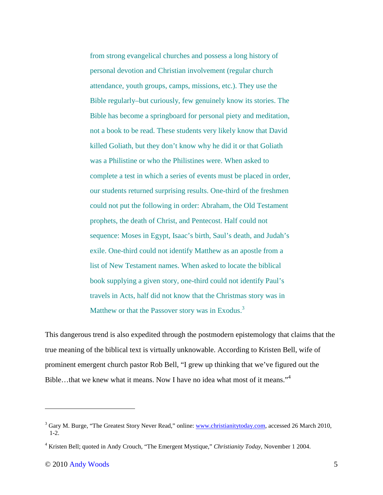from strong evangelical churches and possess a long history of personal devotion and Christian involvement (regular church attendance, youth groups, camps, missions, etc.). They use the Bible regularly–but curiously, few genuinely know its stories. The Bible has become a springboard for personal piety and meditation, not a book to be read. These students very likely know that David killed Goliath, but they don't know why he did it or that Goliath was a Philistine or who the Philistines were. When asked to complete a test in which a series of events must be placed in order, our students returned surprising results. One-third of the freshmen could not put the following in order: Abraham, the Old Testament prophets, the death of Christ, and Pentecost. Half could not sequence: Moses in Egypt, Isaac's birth, Saul's death, and Judah's exile. One-third could not identify Matthew as an apostle from a list of New Testament names. When asked to locate the biblical book supplying a given story, one-third could not identify Paul's travels in Acts, half did not know that the Christmas story was in Matthew or that the Passover story was in Exodus.<sup>3</sup>

This dangerous trend is also expedited through the postmodern epistemology that claims that the true meaning of the biblical text is virtually unknowable. According to Kristen Bell, wife of prominent emergent church pastor Rob Bell, "I grew up thinking that we've figured out the Bible...that we knew what it means. Now I have no idea what most of it means."<sup>4</sup>

 $\overline{a}$ 

<sup>&</sup>lt;sup>3</sup> Gary M. Burge, "The Greatest Story Never Read," online: www.christianitytoday.com, accessed 26 March 2010, 1-2.

<sup>4</sup> Kristen Bell; quoted in Andy Crouch, "The Emergent Mystique," *Christianity Today*, November 1 2004.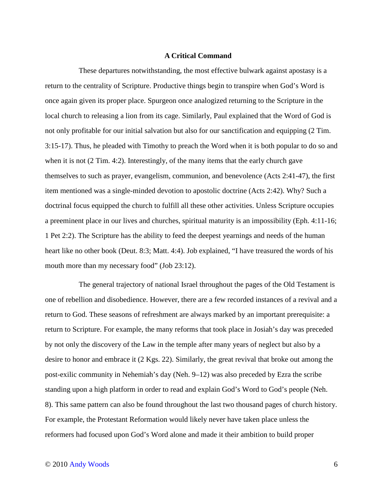## **A Critical Command**

These departures notwithstanding, the most effective bulwark against apostasy is a return to the centrality of Scripture. Productive things begin to transpire when God's Word is once again given its proper place. Spurgeon once analogized returning to the Scripture in the local church to releasing a lion from its cage. Similarly, Paul explained that the Word of God is not only profitable for our initial salvation but also for our sanctification and equipping (2 Tim. 3:15-17). Thus, he pleaded with Timothy to preach the Word when it is both popular to do so and when it is not (2 Tim. 4:2). Interestingly, of the many items that the early church gave themselves to such as prayer, evangelism, communion, and benevolence (Acts 2:41-47), the first item mentioned was a single-minded devotion to apostolic doctrine (Acts 2:42). Why? Such a doctrinal focus equipped the church to fulfill all these other activities. Unless Scripture occupies a preeminent place in our lives and churches, spiritual maturity is an impossibility (Eph. 4:11-16; 1 Pet 2:2). The Scripture has the ability to feed the deepest yearnings and needs of the human heart like no other book (Deut. 8:3; Matt. 4:4). Job explained, "I have treasured the words of his mouth more than my necessary food" (Job 23:12).

The general trajectory of national Israel throughout the pages of the Old Testament is one of rebellion and disobedience. However, there are a few recorded instances of a revival and a return to God. These seasons of refreshment are always marked by an important prerequisite: a return to Scripture. For example, the many reforms that took place in Josiah's day was preceded by not only the discovery of the Law in the temple after many years of neglect but also by a desire to honor and embrace it (2 Kgs. 22). Similarly, the great revival that broke out among the post-exilic community in Nehemiah's day (Neh. 9–12) was also preceded by Ezra the scribe standing upon a high platform in order to read and explain God's Word to God's people (Neh. 8). This same pattern can also be found throughout the last two thousand pages of church history. For example, the Protestant Reformation would likely never have taken place unless the reformers had focused upon God's Word alone and made it their ambition to build proper